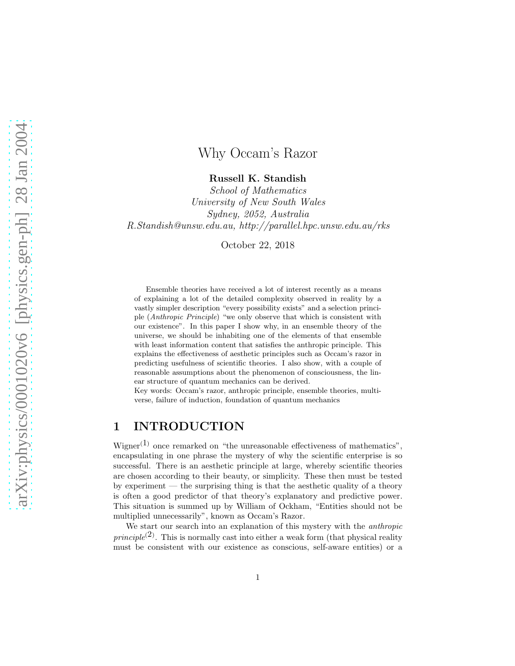# Why Occam's Razor

Russell K. Standish

*School of Mathematics University of New South Wales Sydney, 2052, Australia R.Standish@unsw.edu.au, http://parallel.hpc.unsw.edu.au/rks*

October 22, 2018

Ensemble theories have received a lot of interest recently as a means of explaining a lot of the detailed complexity observed in reality by a vastly simpler description "every possibility exists" and a selection principle (Anthropic Principle) "we only observe that which is consistent with our existence". In this paper I show why, in an ensemble theory of the universe, we should be inhabiting one of the elements of that ensemble with least information content that satisfies the anthropic principle. This explains the effectiveness of aesthetic principles such as Occam's razor in predicting usefulness of scientific theories. I also show, with a couple of reasonable assumptions about the phenomenon of consciousness, the linear structure of quantum mechanics can be derived.

Key words: Occam's razor, anthropic principle, ensemble theories, multiverse, failure of induction, foundation of quantum mechanics

## 1 INTRODUCTION

Wigner<sup>(1)</sup> once remarked on "the unreasonable effectiveness of mathematics". encapsulating in one phrase the mystery of why the scientific enterprise is so successful. There is an aesthetic principle at large, whereby scientific theories are chosen according to their beauty, or simplicity. These then must be tested by experiment — the surprising thing is that the aesthetic quality of a theory is often a good predictor of that theory's explanatory and predictive power. This situation is summed up by William of Ockham, "Entities should not be multiplied unnecessarily", known as Occam's Razor.

We start our search into an explanation of this mystery with the anthropic  $principle<sup>(2)</sup>$ . This is normally cast into either a weak form (that physical reality must be consistent with our existence as conscious, self-aware entities) or a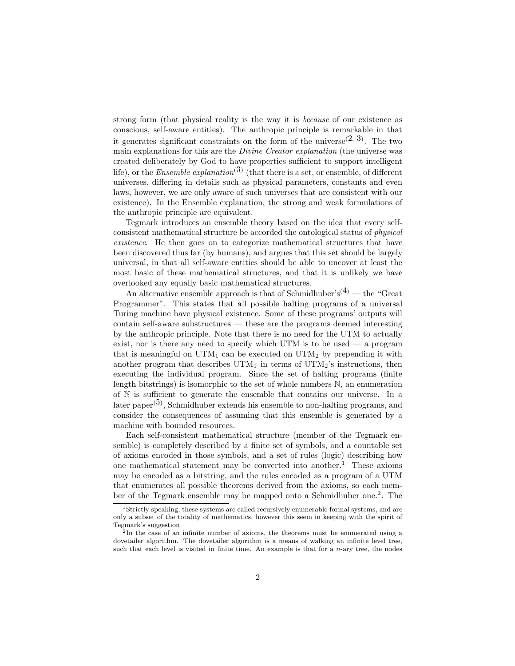strong form (that physical reality is the way it is because of our existence as conscious, self-aware entities). The anthropic principle is remarkable in that it generates significant constraints on the form of the universe<sup> $(2, 3)$ </sup>. The two main explanations for this are the Divine Creator explanation (the universe was created deliberately by God to have properties sufficient to support intelligent life), or the *Ensemble explanation*<sup>(3)</sup> (that there is a set, or ensemble, of different universes, differing in details such as physical parameters, constants and even laws, however, we are only aware of such universes that are consistent with our existence). In the Ensemble explanation, the strong and weak formulations of the anthropic principle are equivalent.

Tegmark introduces an ensemble theory based on the idea that every selfconsistent mathematical structure be accorded the ontological status of physical existence. He then goes on to categorize mathematical structures that have been discovered thus far (by humans), and argues that this set should be largely universal, in that all self-aware entities should be able to uncover at least the most basic of these mathematical structures, and that it is unlikely we have overlooked any equally basic mathematical structures.

An alternative ensemble approach is that of Schmidhuber's<sup>(4)</sup> — the "Great Programmer". This states that all possible halting programs of a universal Turing machine have physical existence. Some of these programs' outputs will contain self-aware substructures — these are the programs deemed interesting by the anthropic principle. Note that there is no need for the UTM to actually exist, nor is there any need to specify which UTM is to be used  $-$  a program that is meaningful on  $UTM_1$  can be executed on  $UTM_2$  by prepending it with another program that describes  $UTM_1$  in terms of  $UTM_2$ 's instructions, then executing the individual program. Since the set of halting programs (finite length bitstrings) is isomorphic to the set of whole numbers N, an enumeration of N is sufficient to generate the ensemble that contains our universe. In a later paper<sup>(5)</sup>, Schmidhuber extends his ensemble to non-halting programs, and consider the consequences of assuming that this ensemble is generated by a machine with bounded resources.

Each self-consistent mathematical structure (member of the Tegmark ensemble) is completely described by a finite set of symbols, and a countable set of axioms encoded in those symbols, and a set of rules (logic) describing how one mathematical statement may be converted into another.<sup>1</sup> These axioms may be encoded as a bitstring, and the rules encoded as a program of a UTM that enumerates all possible theorems derived from the axioms, so each member of the Tegmark ensemble may be mapped onto a Schmidhuber one. 2 . The

<sup>1</sup>Strictly speaking, these systems are called recursively enumerable formal systems, and are only a subset of the totality of mathematics, however this seem in keeping with the spirit of Tegmark's suggestion

<sup>2</sup> In the case of an infinite number of axioms, the theorems must be enumerated using a dovetailer algorithm. The dovetailer algorithm is a means of walking an infinite level tree, such that each level is visited in finite time. An example is that for a  $n$ -ary tree, the nodes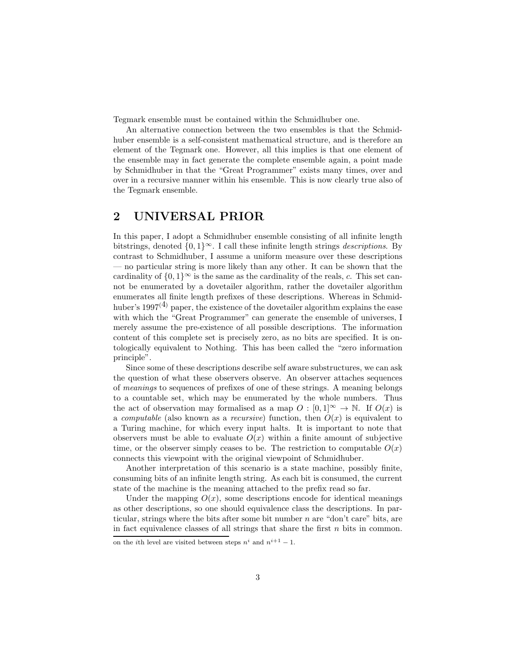Tegmark ensemble must be contained within the Schmidhuber one.

An alternative connection between the two ensembles is that the Schmidhuber ensemble is a self-consistent mathematical structure, and is therefore an element of the Tegmark one. However, all this implies is that one element of the ensemble may in fact generate the complete ensemble again, a point made by Schmidhuber in that the "Great Programmer" exists many times, over and over in a recursive manner within his ensemble. This is now clearly true also of the Tegmark ensemble.

#### 2 UNIVERSAL PRIOR

In this paper, I adopt a Schmidhuber ensemble consisting of all infinite length bitstrings, denoted  $\{0,1\}^{\infty}$ . I call these infinite length strings *descriptions*. By contrast to Schmidhuber, I assume a uniform measure over these descriptions — no particular string is more likely than any other. It can be shown that the cardinality of  $\{0,1\}^{\infty}$  is the same as the cardinality of the reals, c. This set cannot be enumerated by a dovetailer algorithm, rather the dovetailer algorithm enumerates all finite length prefixes of these descriptions. Whereas in Schmidhuber's 1997<sup>(4)</sup> paper, the existence of the dovetailer algorithm explains the ease with which the "Great Programmer" can generate the ensemble of universes, I merely assume the pre-existence of all possible descriptions. The information content of this complete set is precisely zero, as no bits are specified. It is ontologically equivalent to Nothing. This has been called the "zero information principle".

Since some of these descriptions describe self aware substructures, we can ask the question of what these observers observe. An observer attaches sequences of meanings to sequences of prefixes of one of these strings. A meaning belongs to a countable set, which may be enumerated by the whole numbers. Thus the act of observation may formalised as a map  $O : [0,1]^\infty \to \mathbb{N}$ . If  $O(x)$  is a *computable* (also known as a *recursive*) function, then  $O(x)$  is equivalent to a Turing machine, for which every input halts. It is important to note that observers must be able to evaluate  $O(x)$  within a finite amount of subjective time, or the observer simply ceases to be. The restriction to computable  $O(x)$ connects this viewpoint with the original viewpoint of Schmidhuber.

Another interpretation of this scenario is a state machine, possibly finite, consuming bits of an infinite length string. As each bit is consumed, the current state of the machine is the meaning attached to the prefix read so far.

Under the mapping  $O(x)$ , some descriptions encode for identical meanings as other descriptions, so one should equivalence class the descriptions. In particular, strings where the bits after some bit number  $n$  are "don't care" bits, are in fact equivalence classes of all strings that share the first  $n$  bits in common.

on the *i*<sup>th</sup> level are visited between steps  $n^i$  and  $n^{i+1} - 1$ .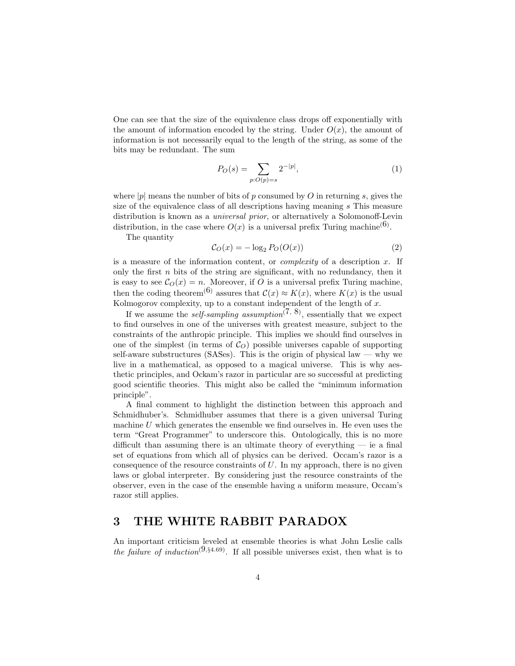One can see that the size of the equivalence class drops off exponentially with the amount of information encoded by the string. Under  $O(x)$ , the amount of information is not necessarily equal to the length of the string, as some of the bits may be redundant. The sum

$$
P_O(s) = \sum_{p:O(p)=s} 2^{-|p|},\tag{1}
$$

where  $|p|$  means the number of bits of p consumed by O in returning s, gives the size of the equivalence class of all descriptions having meaning s This measure distribution is known as a *universal prior*, or alternatively a Solomonoff-Levin distribution, in the case where  $O(x)$  is a universal prefix Turing machine<sup>(6)</sup>.

The quantity

$$
\mathcal{C}_O(x) = -\log_2 P_O(O(x))\tag{2}
$$

is a measure of the information content, or *complexity* of a description  $x$ . If only the first  $n$  bits of the string are significant, with no redundancy, then it is easy to see  $C_O(x) = n$ . Moreover, if O is a universal prefix Turing machine, then the coding theorem<sup>(6)</sup> assures that  $\mathcal{C}(x) \approx K(x)$ , where  $K(x)$  is the usual Kolmogorov complexity, up to a constant independent of the length of  $x$ .

If we assume the *self-sampling assumption*<sup> $(7, 8)$ </sup>, essentially that we expect to find ourselves in one of the universes with greatest measure, subject to the constraints of the anthropic principle. This implies we should find ourselves in one of the simplest (in terms of  $\mathcal{C}_O$ ) possible universes capable of supporting self-aware substructures (SASes). This is the origin of physical law — why we live in a mathematical, as opposed to a magical universe. This is why aesthetic principles, and Ockam's razor in particular are so successful at predicting good scientific theories. This might also be called the "minimum information principle".

A final comment to highlight the distinction between this approach and Schmidhuber's. Schmidhuber assumes that there is a given universal Turing machine  $U$  which generates the ensemble we find ourselves in. He even uses the term "Great Programmer" to underscore this. Ontologically, this is no more difficult than assuming there is an ultimate theory of everything  $-$  ie a final set of equations from which all of physics can be derived. Occam's razor is a consequence of the resource constraints of  $U$ . In my approach, there is no given laws or global interpreter. By considering just the resource constraints of the observer, even in the case of the ensemble having a uniform measure, Occam's razor still applies.

### 3 THE WHITE RABBIT PARADOX

An important criticism leveled at ensemble theories is what John Leslie calls the failure of induction<sup>(9,§4.69)</sup>. If all possible universes exist, then what is to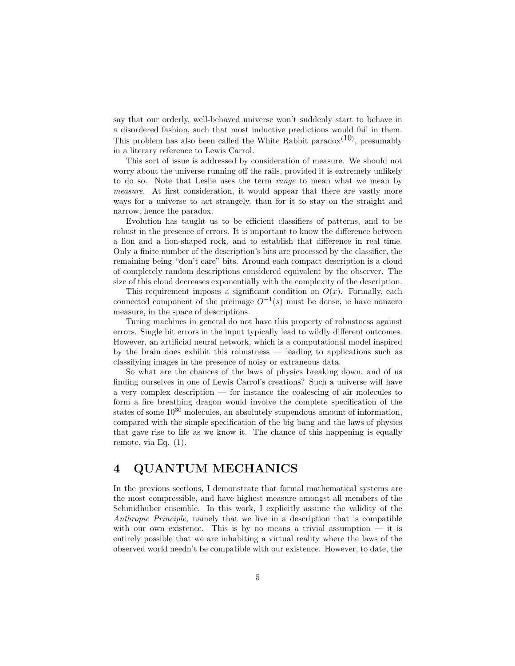say that our orderly, well-behaved universe won't suddenly start to behave in a disordered fashion, such that most inductive predictions would fail in them. This problem has also been called the White Rabbit paradox<sup>(10)</sup>, presumably in a literary reference to Lewis Carrol.

This sort of issue is addressed by consideration of measure. We should not worry about the universe running off the rails, provided it is extremely unlikely to do so. Note that Leslie uses the term range to mean what we mean by measure. At first consideration, it would appear that there are vastly more ways for a universe to act strangely, than for it to stay on the straight and narrow, hence the paradox.

Evolution has taught us to be efficient classifiers of patterns, and to be robust in the presence of errors. It is important to know the difference between a lion and a lion-shaped rock, and to establish that difference in real time. Only a finite number of the description's bits are processed by the classifier, the remaining being "don't care" bits. Around each compact description is a cloud of completely random descriptions considered equivalent by the observer. The size of this cloud decreases exponentially with the complexity of the description.

This requirement imposes a significant condition on  $O(x)$ . Formally, each connected component of the preimage  $O^{-1}(s)$  must be dense, ie have nonzero measure, in the space of descriptions.

Turing machines in general do not have this property of robustness against errors. Single bit errors in the input typically lead to wildly different outcomes. However, an artificial neural network, which is a computational model inspired by the brain does exhibit this robustness — leading to applications such as classifying images in the presence of noisy or extraneous data.

So what are the chances of the laws of physics breaking down, and of us finding ourselves in one of Lewis Carrol's creations? Such a universe will have a very complex description — for instance the coalescing of air molecules to form a fire breathing dragon would involve the complete specification of the states of some  $10^{30}$  molecules, an absolutely stupendous amount of information, compared with the simple specification of the big bang and the laws of physics that gave rise to life as we know it. The chance of this happening is equally remote, via Eq. (1).

## 4 QUANTUM MECHANICS

In the previous sections, I demonstrate that formal mathematical systems are the most compressible, and have highest measure amongst all members of the Schmidhuber ensemble. In this work, I explicitly assume the validity of the Anthropic Principle, namely that we live in a description that is compatible with our own existence. This is by no means a trivial assumption  $-$  it is entirely possible that we are inhabiting a virtual reality where the laws of the observed world needn't be compatible with our existence. However, to date, the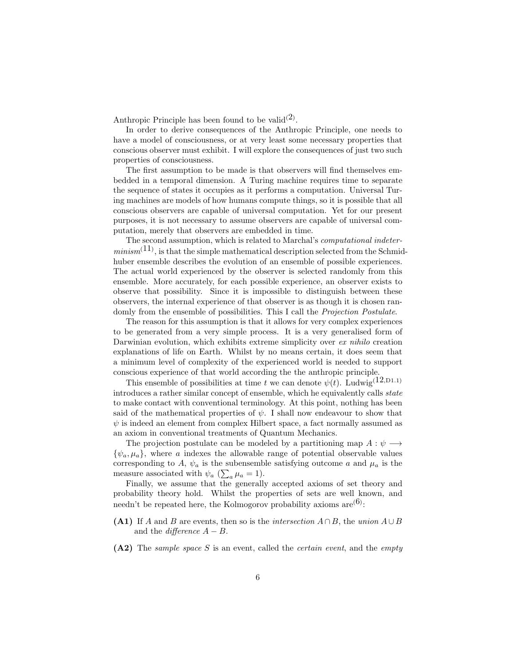Anthropic Principle has been found to be valid<sup>(2)</sup>.

In order to derive consequences of the Anthropic Principle, one needs to have a model of consciousness, or at very least some necessary properties that conscious observer must exhibit. I will explore the consequences of just two such properties of consciousness.

The first assumption to be made is that observers will find themselves embedded in a temporal dimension. A Turing machine requires time to separate the sequence of states it occupies as it performs a computation. Universal Turing machines are models of how humans compute things, so it is possible that all conscious observers are capable of universal computation. Yet for our present purposes, it is not necessary to assume observers are capable of universal computation, merely that observers are embedded in time.

The second assumption, which is related to Marchal's computational indeter $minism<sup>(11)</sup>$ , is that the simple mathematical description selected from the Schmidhuber ensemble describes the evolution of an ensemble of possible experiences. The actual world experienced by the observer is selected randomly from this ensemble. More accurately, for each possible experience, an observer exists to observe that possibility. Since it is impossible to distinguish between these observers, the internal experience of that observer is as though it is chosen randomly from the ensemble of possibilities. This I call the *Projection Postulate*.

The reason for this assumption is that it allows for very complex experiences to be generated from a very simple process. It is a very generalised form of Darwinian evolution, which exhibits extreme simplicity over ex nihilo creation explanations of life on Earth. Whilst by no means certain, it does seem that a minimum level of complexity of the experienced world is needed to support conscious experience of that world according the the anthropic principle.

This ensemble of possibilities at time t we can denote  $\psi(t)$ . Ludwig<sup>(12,D1.1)</sup> introduces a rather similar concept of ensemble, which he equivalently calls state to make contact with conventional terminology. At this point, nothing has been said of the mathematical properties of  $\psi$ . I shall now endeavour to show that  $\psi$  is indeed an element from complex Hilbert space, a fact normally assumed as an axiom in conventional treatments of Quantum Mechanics.

The projection postulate can be modeled by a partitioning map  $A: \psi \longrightarrow$  $\{\psi_a, \mu_a\}$ , where a indexes the allowable range of potential observable values corresponding to A,  $\psi_a$  is the subensemble satisfying outcome a and  $\mu_a$  is the measure associated with  $\psi_a$  ( $\sum_a \mu_a = 1$ ).

Finally, we assume that the generally accepted axioms of set theory and probability theory hold. Whilst the properties of sets are well known, and needn't be repeated here, the Kolmogorov probability axioms  $are^{(6)}$ :

- (A1) If A and B are events, then so is the *intersection*  $A \cap B$ , the union  $A \cup B$ and the *difference*  $A - B$ .
- $(A2)$  The *sample space* S is an event, called the *certain event*, and the *empty*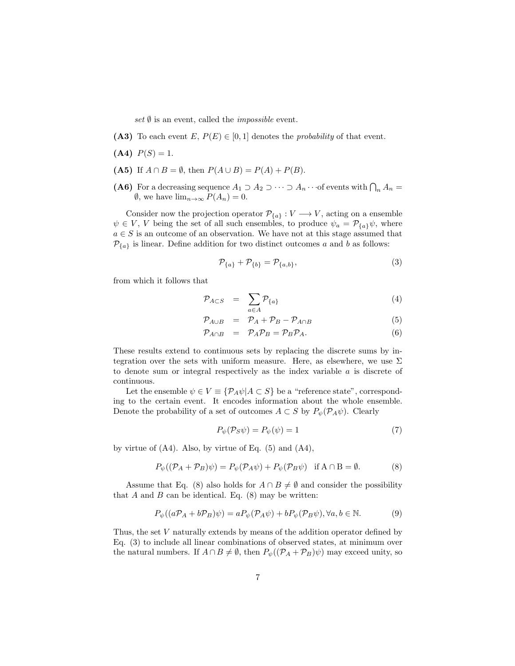set  $\emptyset$  is an event, called the *impossible* event.

- (A3) To each event  $E, P(E) \in [0, 1]$  denotes the *probability* of that event.
- (A4)  $P(S) = 1$ .
- (A5) If  $A \cap B = \emptyset$ , then  $P(A \cup B) = P(A) + P(B)$ .
- (A6) For a decreasing sequence  $A_1 \supset A_2 \supset \cdots \supset A_n \cdots$  of events with  $\bigcap_n A_n =$  $\emptyset$ , we have  $\lim_{n\to\infty} P(A_n) = 0$ .

Consider now the projection operator  $\mathcal{P}_{\{a\}} : V \longrightarrow V$ , acting on a ensemble  $\psi \in V$ , V being the set of all such ensembles, to produce  $\psi_a = \mathcal{P}_{\{a\}}\psi$ , where  $a \in S$  is an outcome of an observation. We have not at this stage assumed that  $\mathcal{P}_{\{a\}}$  is linear. Define addition for two distinct outcomes a and b as follows:

$$
\mathcal{P}_{\{a\}} + \mathcal{P}_{\{b\}} = \mathcal{P}_{\{a,b\}},\tag{3}
$$

from which it follows that

$$
\mathcal{P}_{A\subset S} = \sum_{a\in A} \mathcal{P}_{\{a\}} \tag{4}
$$

$$
\mathcal{P}_{A\cup B} = \mathcal{P}_A + \mathcal{P}_B - \mathcal{P}_{A\cap B} \tag{5}
$$

$$
\mathcal{P}_{A \cap B} = \mathcal{P}_A \mathcal{P}_B = \mathcal{P}_B \mathcal{P}_A. \tag{6}
$$

These results extend to continuous sets by replacing the discrete sums by integration over the sets with uniform measure. Here, as elsewhere, we use  $\Sigma$ to denote sum or integral respectively as the index variable a is discrete of continuous.

Let the ensemble  $\psi \in V \equiv \{ \mathcal{P}_A \psi | A \subset S \}$  be a "reference state", corresponding to the certain event. It encodes information about the whole ensemble. Denote the probability of a set of outcomes  $A \subset S$  by  $P_{\psi}(\mathcal{P}_A\psi)$ . Clearly

$$
P_{\psi}(\mathcal{P}_S \psi) = P_{\psi}(\psi) = 1 \tag{7}
$$

by virtue of  $(A4)$ . Also, by virtue of Eq.  $(5)$  and  $(A4)$ ,

$$
P_{\psi}((\mathcal{P}_A + \mathcal{P}_B)\psi) = P_{\psi}(\mathcal{P}_A\psi) + P_{\psi}(\mathcal{P}_B\psi) \quad \text{if } A \cap B = \emptyset.
$$
 (8)

Assume that Eq. (8) also holds for  $A \cap B \neq \emptyset$  and consider the possibility that  $A$  and  $B$  can be identical. Eq.  $(8)$  may be written:

$$
P_{\psi}((a\mathcal{P}_A + b\mathcal{P}_B)\psi) = aP_{\psi}(\mathcal{P}_A\psi) + bP_{\psi}(\mathcal{P}_B\psi), \forall a, b \in \mathbb{N}.
$$
 (9)

Thus, the set V naturally extends by means of the addition operator defined by Eq. (3) to include all linear combinations of observed states, at minimum over the natural numbers. If  $A \cap B \neq \emptyset$ , then  $P_{\psi}((\mathcal{P}_A + \mathcal{P}_B)\psi)$  may exceed unity, so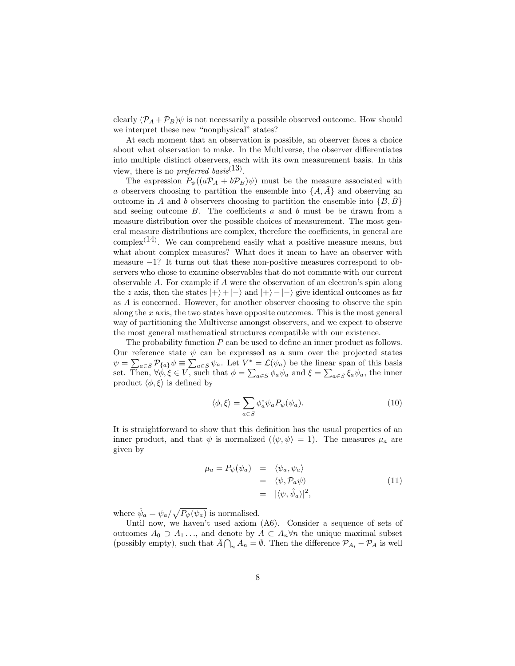clearly  $(\mathcal{P}_A + \mathcal{P}_B)\psi$  is not necessarily a possible observed outcome. How should we interpret these new "nonphysical" states?

At each moment that an observation is possible, an observer faces a choice about what observation to make. In the Multiverse, the observer differentiates into multiple distinct observers, each with its own measurement basis. In this view, there is no *preferred* basis<sup>(13)</sup>.

The expression  $P_{\psi}((a\mathcal{P}_A + b\mathcal{P}_B)\psi)$  must be the measure associated with a observers choosing to partition the ensemble into  $\{A, \overline{A}\}\$  and observing an outcome in A and b observers choosing to partition the ensemble into  $\{B, B\}$ and seeing outcome  $B$ . The coefficients  $a$  and  $b$  must be be drawn from a measure distribution over the possible choices of measurement. The most general measure distributions are complex, therefore the coefficients, in general are complex<sup>(14)</sup>. We can comprehend easily what a positive measure means, but what about complex measures? What does it mean to have an observer with measure −1? It turns out that these non-positive measures correspond to observers who chose to examine observables that do not commute with our current observable A. For example if A were the observation of an electron's spin along the z axis, then the states  $|+\rangle +|-\rangle$  and  $|+\rangle -|-\rangle$  give identical outcomes as far as A is concerned. However, for another observer choosing to observe the spin along the  $x$  axis, the two states have opposite outcomes. This is the most general way of partitioning the Multiverse amongst observers, and we expect to observe the most general mathematical structures compatible with our existence.

The probability function  $P$  can be used to define an inner product as follows. Our reference state  $\psi$  can be expressed as a sum over the projected states  $\psi = \sum_{a \in S} \mathcal{P}_{\{a\}} \psi \equiv \sum_{a \in S} \psi_a$ . Let  $V^* = \mathcal{L}(\psi_a)$  be the linear span of this basis set. Then,  $\forall \phi, \xi \in V$ , such that  $\phi = \sum_{a \in S} \phi_a \psi_a$  and  $\xi = \sum_{a \in S} \xi_a \psi_a$ , the inner product  $\langle \phi, \xi \rangle$  is defined by

$$
\langle \phi, \xi \rangle = \sum_{a \in S} \phi_a^* \psi_a P_{\psi}(\psi_a). \tag{10}
$$

It is straightforward to show that this definition has the usual properties of an inner product, and that  $\psi$  is normalized  $(\langle \psi, \psi \rangle = 1)$ . The measures  $\mu_a$  are given by

$$
\mu_a = P_{\psi}(\psi_a) = \langle \psi_a, \psi_a \rangle \n= \langle \psi, \mathcal{P}_a \psi \rangle \n= |\langle \psi, \hat{\psi}_a \rangle|^2,
$$
\n(11)

where  $\hat{\psi}_a = \psi_a / \sqrt{P_{\psi}(\psi_a)}$  is normalised.

Until now, we haven't used axiom (A6). Consider a sequence of sets of outcomes  $A_0 \supset A_1 \ldots$ , and denote by  $A \subset A_n \forall n$  the unique maximal subset (possibly empty), such that  $\bar{A} \bigcap_n A_n = \emptyset$ . Then the difference  $\mathcal{P}_{A_i} - \mathcal{P}_{A}$  is well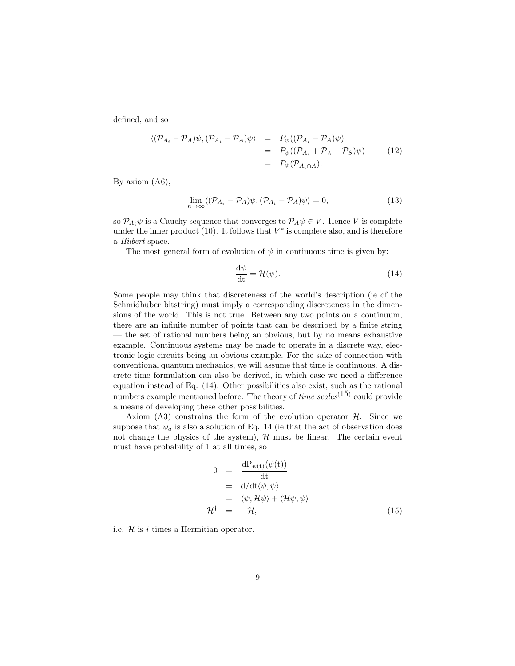defined, and so

$$
\langle (\mathcal{P}_{A_i} - \mathcal{P}_A)\psi, (\mathcal{P}_{A_i} - \mathcal{P}_A)\psi \rangle = P_{\psi}((\mathcal{P}_{A_i} - \mathcal{P}_A)\psi)
$$
  

$$
= P_{\psi}((\mathcal{P}_{A_i} + \mathcal{P}_{\bar{A}} - \mathcal{P}_S)\psi)
$$
  

$$
= P_{\psi}(\mathcal{P}_{A_i \cap \bar{A}}).
$$
 (12)

By axiom (A6),

$$
\lim_{n \to \infty} \langle (\mathcal{P}_{A_i} - \mathcal{P}_A) \psi, (\mathcal{P}_{A_i} - \mathcal{P}_A) \psi \rangle = 0, \tag{13}
$$

so  $\mathcal{P}_{A_i}\psi$  is a Cauchy sequence that converges to  $\mathcal{P}_A\psi \in V$ . Hence V is complete under the inner product  $(10)$ . It follows that  $V^*$  is complete also, and is therefore a Hilbert space.

The most general form of evolution of  $\psi$  in continuous time is given by:

$$
\frac{\mathrm{d}\psi}{\mathrm{d}t} = \mathcal{H}(\psi). \tag{14}
$$

Some people may think that discreteness of the world's description (ie of the Schmidhuber bitstring) must imply a corresponding discreteness in the dimensions of the world. This is not true. Between any two points on a continuum, there are an infinite number of points that can be described by a finite string — the set of rational numbers being an obvious, but by no means exhaustive example. Continuous systems may be made to operate in a discrete way, electronic logic circuits being an obvious example. For the sake of connection with conventional quantum mechanics, we will assume that time is continuous. A discrete time formulation can also be derived, in which case we need a difference equation instead of Eq. (14). Other possibilities also exist, such as the rational numbers example mentioned before. The theory of *time scales*<sup>(15)</sup> could provide a means of developing these other possibilities.

Axiom  $(A3)$  constrains the form of the evolution operator  $H$ . Since we suppose that  $\psi_a$  is also a solution of Eq. 14 (ie that the act of observation does not change the physics of the system),  $H$  must be linear. The certain event must have probability of 1 at all times, so

$$
0 = \frac{dP_{\psi(t)}(\psi(t))}{dt}
$$
  
\n
$$
= d/dt \langle \psi, \psi \rangle
$$
  
\n
$$
= \langle \psi, \mathcal{H}\psi \rangle + \langle \mathcal{H}\psi, \psi \rangle
$$
  
\n
$$
\mathcal{H}^{\dagger} = -\mathcal{H}, \qquad (15)
$$

i.e.  $H$  is i times a Hermitian operator.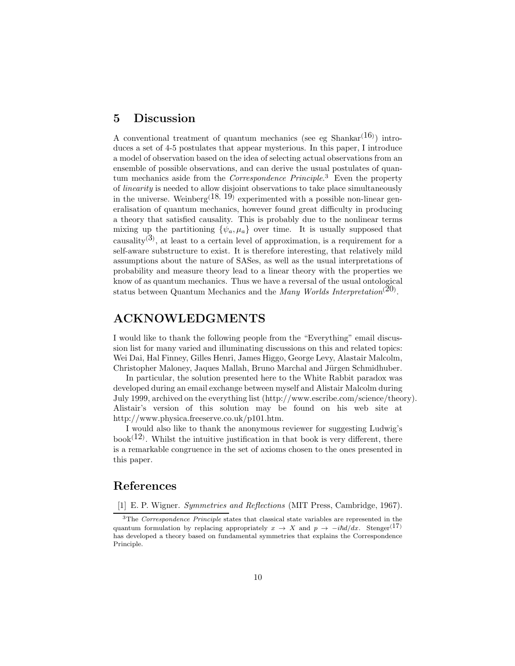#### 5 Discussion

A conventional treatment of quantum mechanics (see eg Shankar $(16)$ ) introduces a set of 4-5 postulates that appear mysterious. In this paper, I introduce a model of observation based on the idea of selecting actual observations from an ensemble of possible observations, and can derive the usual postulates of quantum mechanics aside from the *Correspondence Principle*.<sup>3</sup> Even the property of linearity is needed to allow disjoint observations to take place simultaneously in the universe. Weinberg<sup>(18, 19)</sup> experimented with a possible non-linear generalisation of quantum mechanics, however found great difficulty in producing a theory that satisfied causality. This is probably due to the nonlinear terms mixing up the partitioning  $\{\psi_a, \mu_a\}$  over time. It is usually supposed that causality<sup>(3)</sup>, at least to a certain level of approximation, is a requirement for a self-aware substructure to exist. It is therefore interesting, that relatively mild assumptions about the nature of SASes, as well as the usual interpretations of probability and measure theory lead to a linear theory with the properties we know of as quantum mechanics. Thus we have a reversal of the usual ontological status between Quantum Mechanics and the *Many Worlds Interpretation*<sup>(20)</sup>.

### ACKNOWLEDGMENTS

I would like to thank the following people from the "Everything" email discussion list for many varied and illuminating discussions on this and related topics: Wei Dai, Hal Finney, Gilles Henri, James Higgo, George Levy, Alastair Malcolm, Christopher Maloney, Jaques Mallah, Bruno Marchal and Jürgen Schmidhuber.

In particular, the solution presented here to the White Rabbit paradox was developed during an email exchange between myself and Alistair Malcolm during July 1999, archived on the everything list (http://www.escribe.com/science/theory). Alistair's version of this solution may be found on his web site at http://www.physica.freeserve.co.uk/p101.htm.

I would also like to thank the anonymous reviewer for suggesting Ludwig's  $book<sup>(12)</sup>$ . Whilst the intuitive justification in that book is very different, there is a remarkable congruence in the set of axioms chosen to the ones presented in this paper.

### References

[1] E. P. Wigner. Symmetries and Reflections (MIT Press, Cambridge, 1967).

<sup>&</sup>lt;sup>3</sup>The Correspondence Principle states that classical state variables are represented in the quantum formulation by replacing appropriately  $x \to X$  and  $p \to -i\hbar d/dx$ . Stenger<sup>(17)</sup> has developed a theory based on fundamental symmetries that explains the Correspondence Principle.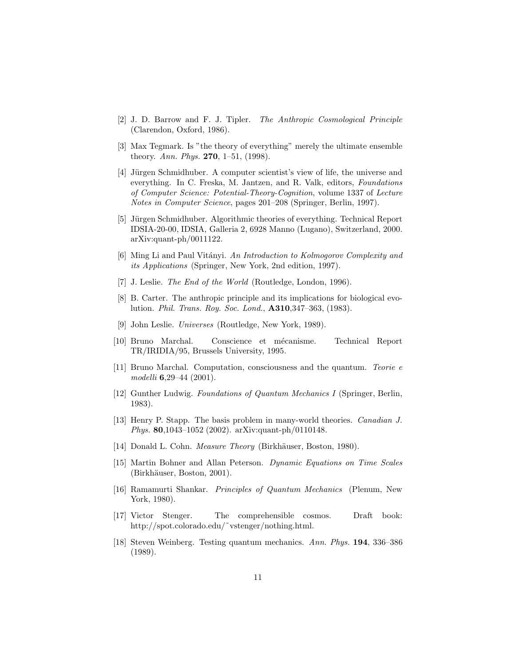- [2] J. D. Barrow and F. J. Tipler. The Anthropic Cosmological Principle (Clarendon, Oxford, 1986).
- [3] Max Tegmark. Is "the theory of everything" merely the ultimate ensemble theory. Ann. Phys. 270, 1-51, (1998).
- [4] Jürgen Schmidhuber. A computer scientist's view of life, the universe and everything. In C. Freska, M. Jantzen, and R. Valk, editors, Foundations of Computer Science: Potential-Theory-Cognition, volume 1337 of Lecture Notes in Computer Science, pages 201–208 (Springer, Berlin, 1997).
- [5] Jürgen Schmidhuber. Algorithmic theories of everything. Technical Report IDSIA-20-00, IDSIA, Galleria 2, 6928 Manno (Lugano), Switzerland, 2000. arXiv:quant-ph/0011122.
- [6] Ming Li and Paul Vitányi. An Introduction to Kolmogorov Complexity and its Applications (Springer, New York, 2nd edition, 1997).
- [7] J. Leslie. The End of the World (Routledge, London, 1996).
- [8] B. Carter. The anthropic principle and its implications for biological evolution. Phil. Trans. Roy. Soc. Lond., A310,347–363, (1983).
- [9] John Leslie. Universes (Routledge, New York, 1989).
- [10] Bruno Marchal. Conscience et mécanisme. Technical Report TR/IRIDIA/95, Brussels University, 1995.
- [11] Bruno Marchal. Computation, consciousness and the quantum. Teorie e modelli 6,29–44 (2001).
- [12] Gunther Ludwig. Foundations of Quantum Mechanics I (Springer, Berlin, 1983).
- [13] Henry P. Stapp. The basis problem in many-world theories. Canadian J. Phys. 80,1043–1052 (2002). arXiv:quant-ph/0110148.
- [14] Donald L. Cohn. *Measure Theory* (Birkhäuser, Boston, 1980).
- [15] Martin Bohner and Allan Peterson. Dynamic Equations on Time Scales (Birkhäuser, Boston, 2001).
- [16] Ramamurti Shankar. Principles of Quantum Mechanics (Plenum, New York, 1980).
- [17] Victor Stenger. The comprehensible cosmos. Draft book: http://spot.colorado.edu/˜vstenger/nothing.html.
- [18] Steven Weinberg. Testing quantum mechanics. Ann. Phys. 194, 336–386 (1989).